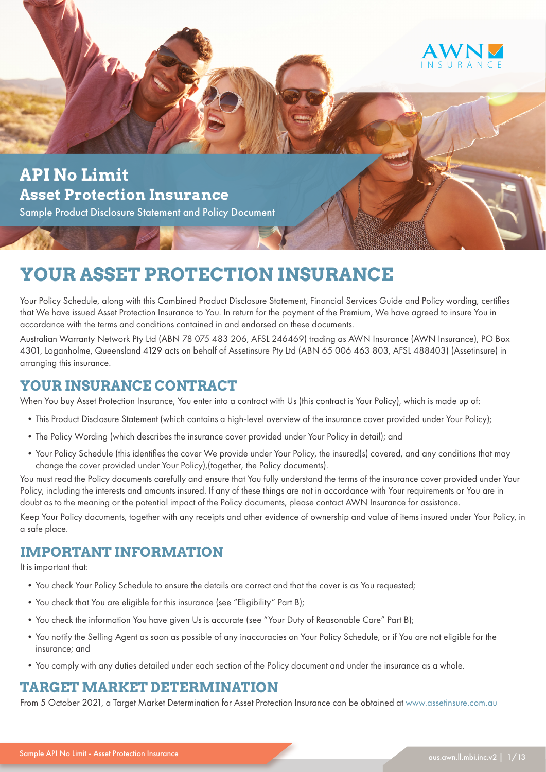

## **API No Limit Asset Protection Insurance**

Sample Product Disclosure Statement and Policy Document

# **YOUR ASSET PROTECTION INSURANCE**

Your Policy Schedule, along with this Combined Product Disclosure Statement, Financial Services Guide and Policy wording, certifies that We have issued Asset Protection Insurance to You. In return for the payment of the Premium, We have agreed to insure You in accordance with the terms and conditions contained in and endorsed on these documents.

Australian Warranty Network Pty Ltd (ABN 78 075 483 206, AFSL 246469) trading as AWN Insurance (AWN Insurance), PO Box 4301, Loganholme, Queensland 4129 acts on behalf of Assetinsure Pty Ltd (ABN 65 006 463 803, AFSL 488403) (Assetinsure) in arranging this insurance.

### **YOUR INSURANCE CONTRACT**

When You buy Asset Protection Insurance, You enter into a contract with Us (this contract is Your Policy), which is made up of:

- •This Product Disclosure Statement (which contains a high-level overview of the insurance cover provided under Your Policy);
- •The Policy Wording (which describes the insurance cover provided under Your Policy in detail); and
- •Your Policy Schedule (this identifies the cover We provide under Your Policy, the insured(s) covered, and any conditions that may change the cover provided under Your Policy),(together, the Policy documents).

You must read the Policy documents carefully and ensure that You fully understand the terms of the insurance cover provided under Your Policy, including the interests and amounts insured. If any of these things are not in accordance with Your requirements or You are in doubt as to the meaning or the potential impact of the Policy documents, please contact AWN Insurance for assistance.

Keep Your Policy documents, together with any receipts and other evidence of ownership and value of items insured under Your Policy, in a safe place.

### **IMPORTANT INFORMATION**

It is important that:

- •You check Your Policy Schedule to ensure the details are correct and that the cover is as You requested;
- You check that You are eligible for this insurance (see "Eligibility" Part B);
- •You check the information You have given Us is accurate (see "Your Duty of Reasonable Care" Part B);
- •You notify the Selling Agent as soon as possible of any inaccuracies on Your Policy Schedule, or if You are not eligible for the insurance; and
- •You comply with any duties detailed under each section of the Policy document and under the insurance as a whole.

### **TARGET MARKET DETERMINATION**

From 5 October 2021, a Target Market Determination for Asset Protection Insurance can be obtained at www.assetinsure.com.au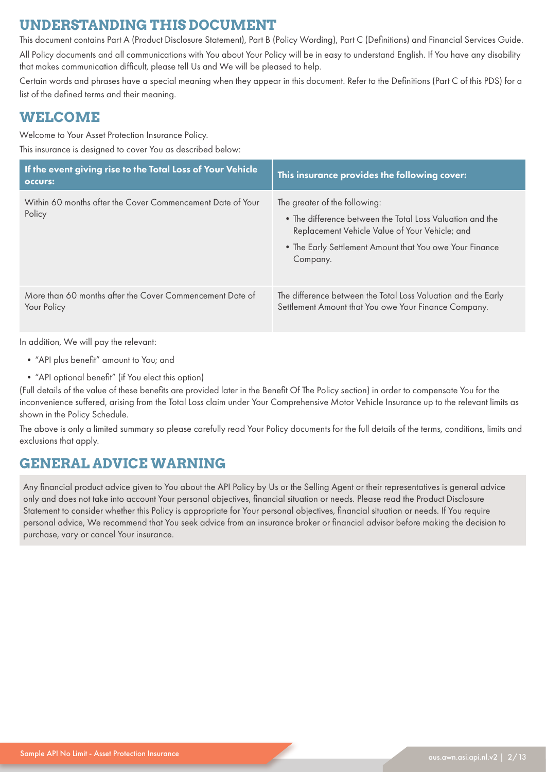### **UNDERSTANDING THIS DOCUMENT**

This document contains Part A (Product Disclosure Statement), Part B (Policy Wording), Part C (Definitions) and Financial Services Guide. All Policy documents and all communications with You about Your Policy will be in easy to understand English. If You have any disability that makes communication difficult, please tell Us and We will be pleased to help.

Certain words and phrases have a special meaning when they appear in this document. Refer to the Definitions (Part C of this PDS) for a list of the defined terms and their meaning.

### **WELCOME**

Welcome to Your Asset Protection Insurance Policy.

This insurance is designed to cover You as described below:

| If the event giving rise to the Total Loss of Your Vehicle<br><b>OCCULS:</b> | This insurance provides the following cover:                                                                                                                                                                        |
|------------------------------------------------------------------------------|---------------------------------------------------------------------------------------------------------------------------------------------------------------------------------------------------------------------|
| Within 60 months after the Cover Commencement Date of Your<br>Policy         | The greater of the following:<br>• The difference between the Total Loss Valuation and the<br>Replacement Vehicle Value of Your Vehicle; and<br>• The Early Settlement Amount that You owe Your Finance<br>Company. |
| More than 60 months after the Cover Commencement Date of<br>Your Policy      | The difference between the Total Loss Valuation and the Early<br>Settlement Amount that You owe Your Finance Company.                                                                                               |

In addition, We will pay the relevant:

- •"API plus benefit" amount to You; and
- •"API optional benefit" (if You elect this option)

(Full details of the value of these benefits are provided later in the Benefit Of The Policy section) in order to compensate You for the inconvenience suffered, arising from the Total Loss claim under Your Comprehensive Motor Vehicle Insurance up to the relevant limits as shown in the Policy Schedule.

The above is only a limited summary so please carefully read Your Policy documents for the full details of the terms, conditions, limits and exclusions that apply.

### **GENERAL ADVICE WARNING**

Any financial product advice given to You about the API Policy by Us or the Selling Agent or their representatives is general advice only and does not take into account Your personal objectives, financial situation or needs. Please read the Product Disclosure Statement to consider whether this Policy is appropriate for Your personal objectives, financial situation or needs. If You require personal advice, We recommend that You seek advice from an insurance broker or financial advisor before making the decision to purchase, vary or cancel Your insurance.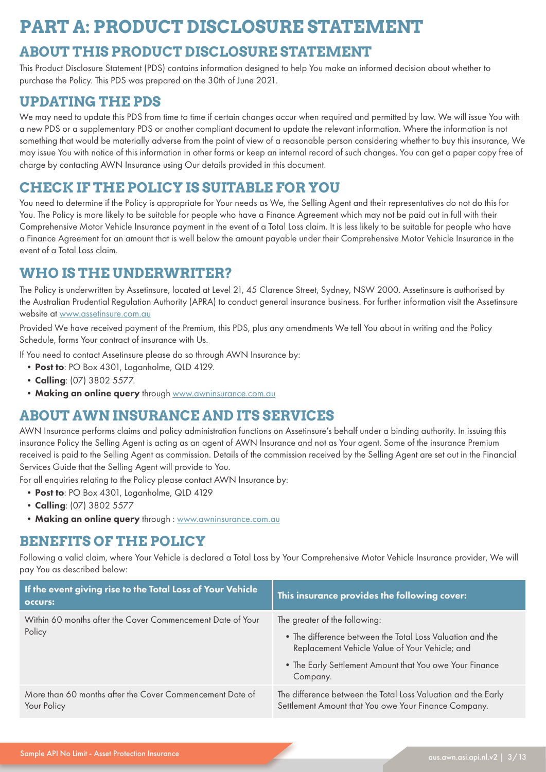# **PART A: PRODUCT DISCLOSURE STATEMENT**

### **ABOUT THIS PRODUCT DISCLOSURE STATEMENT**

This Product Disclosure Statement (PDS) contains information designed to help You make an informed decision about whether to purchase the Policy. This PDS was prepared on the 30th of June 2021.

### **UPDATING THE PDS**

We may need to update this PDS from time to time if certain changes occur when required and permitted by law. We will issue You with a new PDS or a supplementary PDS or another compliant document to update the relevant information. Where the information is not something that would be materially adverse from the point of view of a reasonable person considering whether to buy this insurance, We may issue You with notice of this information in other forms or keep an internal record of such changes. You can get a paper copy free of charge by contacting AWN Insurance using Our details provided in this document.

### **CHECK IF THE POLICY IS SUITABLE FOR YOU**

You need to determine if the Policy is appropriate for Your needs as We, the Selling Agent and their representatives do not do this for You. The Policy is more likely to be suitable for people who have a Finance Agreement which may not be paid out in full with their Comprehensive Motor Vehicle Insurance payment in the event of a Total Loss claim. It is less likely to be suitable for people who have a Finance Agreement for an amount that is well below the amount payable under their Comprehensive Motor Vehicle Insurance in the event of a Total Loss claim.

### **WHO IS THE UNDERWRITER?**

The Policy is underwritten by Assetinsure, located at Level 21, 45 Clarence Street, Sydney, NSW 2000. Assetinsure is authorised by the Australian Prudential Regulation Authority (APRA) to conduct general insurance business. For further information visit the Assetinsure website at www.assetinsure.com.au

Provided We have received payment of the Premium, this PDS, plus any amendments We tell You about in writing and the Policy Schedule, forms Your contract of insurance with Us.

If You need to contact Assetinsure please do so through AWN Insurance by:

- Post to: PO Box 4301, Loganholme, QLD 4129.
- •Calling: (07) 3802 5577.
- Making an online query through www.awninsurance.com.au

### **ABOUT AWN INSURANCE AND ITS SERVICES**

AWN Insurance performs claims and policy administration functions on Assetinsure's behalf under a binding authority. In issuing this insurance Policy the Selling Agent is acting as an agent of AWN Insurance and not as Your agent. Some of the insurance Premium received is paid to the Selling Agent as commission. Details of the commission received by the Selling Agent are set out in the Financial Services Guide that the Selling Agent will provide to You.

For all enquiries relating to the Policy please contact AWN Insurance by:

- Post to: PO Box 4301, Loganholme, QLD 4129
- •Calling: (07) 3802 5577
- Making an online query through : www.awninsurance.com.au

### **BENEFITS OF THE POLICY**

Following a valid claim, where Your Vehicle is declared a Total Loss by Your Comprehensive Motor Vehicle Insurance provider, We will pay You as described below:

| If the event giving rise to the Total Loss of Your Vehicle<br><b>OCCULS:</b> | This insurance provides the following cover:                                                                                                                                                                        |
|------------------------------------------------------------------------------|---------------------------------------------------------------------------------------------------------------------------------------------------------------------------------------------------------------------|
| Within 60 months after the Cover Commencement Date of Your<br>Policy         | The greater of the following:<br>• The difference between the Total Loss Valuation and the<br>Replacement Vehicle Value of Your Vehicle; and<br>• The Early Settlement Amount that You owe Your Finance<br>Company. |
| More than 60 months after the Cover Commencement Date of<br>Your Policy      | The difference between the Total Loss Valuation and the Early<br>Settlement Amount that You owe Your Finance Company.                                                                                               |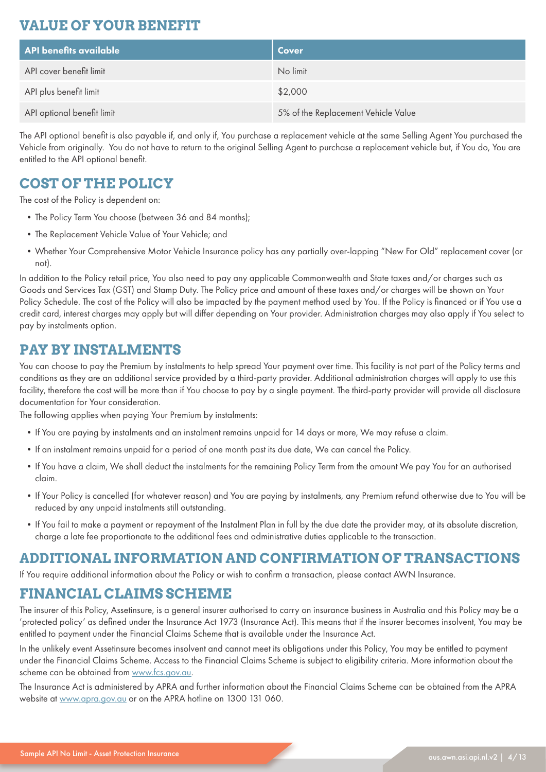### **VALUE OF YOUR BENEFIT**

| <b>API benefits available</b> | Cover                               |
|-------------------------------|-------------------------------------|
| API cover benefit limit       | No limit                            |
| API plus benefit limit        | \$2,000                             |
| API optional benefit limit    | 5% of the Replacement Vehicle Value |

The API optional benefit is also payable if, and only if, You purchase a replacement vehicle at the same Selling Agent You purchased the Vehicle from originally. You do not have to return to the original Selling Agent to purchase a replacement vehicle but, if You do, You are entitled to the API optional benefit.

### **COST OF THE POLICY**

The cost of the Policy is dependent on:

- The Policy Term You choose (between 36 and 84 months);
- •The Replacement Vehicle Value of Your Vehicle; and
- •Whether Your Comprehensive Motor Vehicle Insurance policy has any partially over-lapping "New For Old" replacement cover (or not).

In addition to the Policy retail price, You also need to pay any applicable Commonwealth and State taxes and/or charges such as Goods and Services Tax (GST) and Stamp Duty. The Policy price and amount of these taxes and/or charges will be shown on Your Policy Schedule. The cost of the Policy will also be impacted by the payment method used by You. If the Policy is financed or if You use a credit card, interest charges may apply but will differ depending on Your provider. Administration charges may also apply if You select to pay by instalments option.

### **PAY BY INSTALMENTS**

You can choose to pay the Premium by instalments to help spread Your payment over time. This facility is not part of the Policy terms and conditions as they are an additional service provided by a third-party provider. Additional administration charges will apply to use this facility, therefore the cost will be more than if You choose to pay by a single payment. The third-party provider will provide all disclosure documentation for Your consideration.

The following applies when paying Your Premium by instalments:

- •If You are paying by instalments and an instalment remains unpaid for 14 days or more, We may refuse a claim.
- •If an instalment remains unpaid for a period of one month past its due date, We can cancel the Policy.
- If You have a claim, We shall deduct the instalments for the remaining Policy Term from the amount We pay You for an authorised claim.
- •If Your Policy is cancelled (for whatever reason) and You are paying by instalments, any Premium refund otherwise due to You will be reduced by any unpaid instalments still outstanding.
- •If You fail to make a payment or repayment of the Instalment Plan in full by the due date the provider may, at its absolute discretion, charge a late fee proportionate to the additional fees and administrative duties applicable to the transaction.

### **ADDITIONAL INFORMATION AND CONFIRMATION OF TRANSACTIONS**

If You require additional information about the Policy or wish to confirm a transaction, please contact AWN Insurance.

### **FINANCIAL CLAIMS SCHEME**

The insurer of this Policy, Assetinsure, is a general insurer authorised to carry on insurance business in Australia and this Policy may be a 'protected policy' as defined under the Insurance Act 1973 (Insurance Act). This means that if the insurer becomes insolvent, You may be entitled to payment under the Financial Claims Scheme that is available under the Insurance Act.

In the unlikely event Assetinsure becomes insolvent and cannot meet its obligations under this Policy, You may be entitled to payment under the Financial Claims Scheme. Access to the Financial Claims Scheme is subject to eligibility criteria. More information about the scheme can be obtained from www.fcs.gov.au.

The Insurance Act is administered by APRA and further information about the Financial Claims Scheme can be obtained from the APRA website at www.apra.gov.au or on the APRA hotline on 1300 131 060.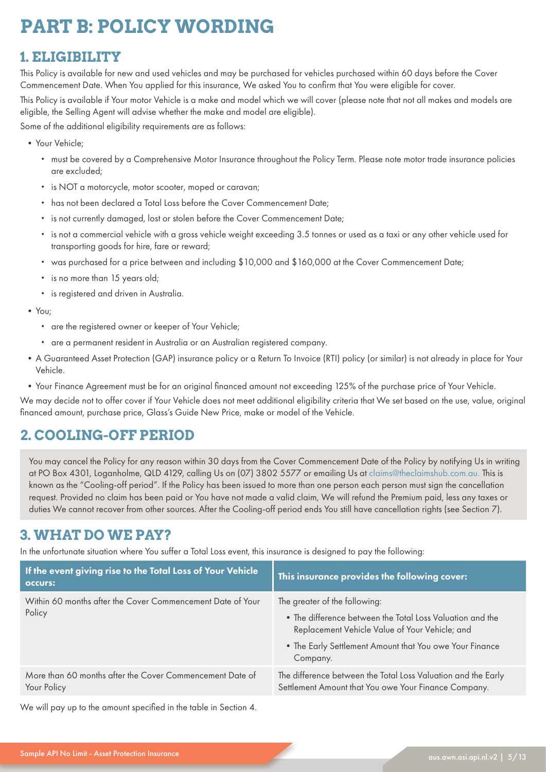# **PART B: POLICY WORDING**

### **1. ELIGIBILITY**

This Policy is available for new and used vehicles and may be purchased for vehicles purchased within 60 days before the Cover Commencement Date. When You applied for this insurance, We asked You to confirm that You were eligible for cover.

This Policy is available if Your motor Vehicle is a make and model which we will cover (please note that not all makes and models are eligible, the Selling Agent will advise whether the make and model are eligible).

Some of the additional eligibility requirements are as follows:

- Your Vehicle;
	- must be covered by a Comprehensive Motor Insurance throughout the Policy Term. Please note motor trade insurance policies are excluded;
	- is NOT a motorcycle, motor scooter, moped or caravan;
	- has not been declared a Total Loss before the Cover Commencement Date;
	- is not currently damaged, lost or stolen before the Cover Commencement Date;
	- is not a commercial vehicle with a gross vehicle weight exceeding 3.5 tonnes or used as a taxi or any other vehicle used for transporting goods for hire, fare or reward;
	- was purchased for a price between and including \$10,000 and \$160,000 at the Cover Commencement Date;
	- is no more than 15 years old;
	- is registered and driven in Australia.
- You;
	- are the registered owner or keeper of Your Vehicle;
	- are a permanent resident in Australia or an Australian registered company.
- •A Guaranteed Asset Protection (GAP) insurance policy or a Return To Invoice (RTI) policy (or similar) is not already in place for Your Vehicle.
- •Your Finance Agreement must be for an original financed amount not exceeding 125% of the purchase price of Your Vehicle.

We may decide not to offer cover if Your Vehicle does not meet additional eligibility criteria that We set based on the use, value, original financed amount, purchase price, Glass's Guide New Price, make or model of the Vehicle.

### **2. COOLING-OFF PERIOD**

You may cancel the Policy for any reason within 30 days from the Cover Commencement Date of the Policy by notifying Us in writing at PO Box 4301, Loganholme, QLD 4129, calling Us on (07) 3802 5577 or emailing Us at claims@theclaimshub.com.au. This is known as the "Cooling-off period". If the Policy has been issued to more than one person each person must sign the cancellation request. Provided no claim has been paid or You have not made a valid claim, We will refund the Premium paid, less any taxes or duties We cannot recover from other sources. After the Cooling-off period ends You still have cancellation rights (see Section 7).

### **3. WHAT DO WE PAY?**

In the unfortunate situation where You suffer a Total Loss event, this insurance is designed to pay the following:

| If the event giving rise to the Total Loss of Your Vehicle<br><b>OCCUTS:</b> | This insurance provides the following cover:                                                                                                                                                                        |
|------------------------------------------------------------------------------|---------------------------------------------------------------------------------------------------------------------------------------------------------------------------------------------------------------------|
| Within 60 months after the Cover Commencement Date of Your<br>Policy         | The greater of the following:<br>• The difference between the Total Loss Valuation and the<br>Replacement Vehicle Value of Your Vehicle; and<br>• The Early Settlement Amount that You owe Your Finance<br>Company. |
| More than 60 months after the Cover Commencement Date of<br>Your Policy      | The difference between the Total Loss Valuation and the Early<br>Settlement Amount that You owe Your Finance Company.                                                                                               |
|                                                                              |                                                                                                                                                                                                                     |

We will pay up to the amount specified in the table in Section 4.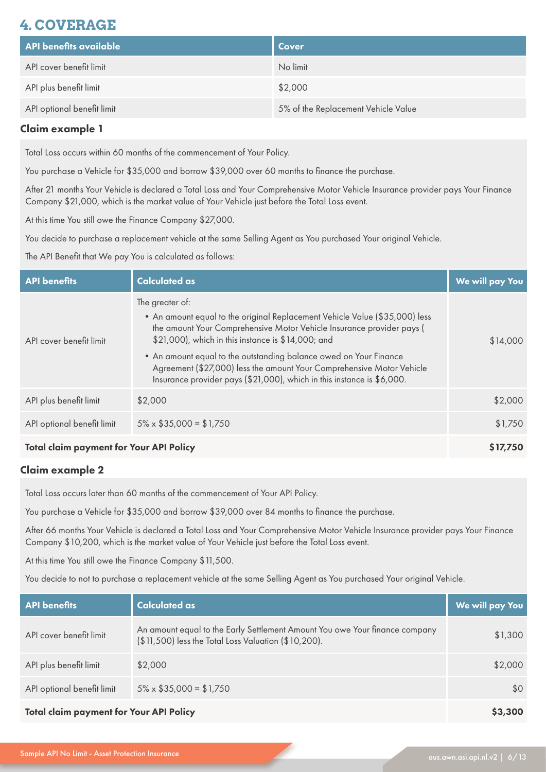### **4. COVERAGE**

| API benefits available     | Cover                               |
|----------------------------|-------------------------------------|
| API cover benefit limit    | No limit                            |
| API plus benefit limit     | \$2,000                             |
| API optional benefit limit | 5% of the Replacement Vehicle Value |

#### Claim example 1

Total Loss occurs within 60 months of the commencement of Your Policy.

You purchase a Vehicle for \$35,000 and borrow \$39,000 over 60 months to finance the purchase.

After 21 months Your Vehicle is declared a Total Loss and Your Comprehensive Motor Vehicle Insurance provider pays Your Finance Company \$21,000, which is the market value of Your Vehicle just before the Total Loss event.

At this time You still owe the Finance Company \$27,000.

You decide to purchase a replacement vehicle at the same Selling Agent as You purchased Your original Vehicle.

The API Benefit that We pay You is calculated as follows:

| <b>API</b> benefits                            | <b>Calculated as</b>                                                                                                                                                                                                                                                                                                                                                                                                                                  | <b>We will pay You</b> |
|------------------------------------------------|-------------------------------------------------------------------------------------------------------------------------------------------------------------------------------------------------------------------------------------------------------------------------------------------------------------------------------------------------------------------------------------------------------------------------------------------------------|------------------------|
| API cover benefit limit                        | The greater of:<br>• An amount equal to the original Replacement Vehicle Value (\$35,000) less<br>the amount Your Comprehensive Motor Vehicle Insurance provider pays (<br>\$21,000), which in this instance is \$14,000; and<br>• An amount equal to the outstanding balance owed on Your Finance<br>Agreement (\$27,000) less the amount Your Comprehensive Motor Vehicle<br>Insurance provider pays (\$21,000), which in this instance is \$6,000. | \$14,000               |
| API plus benefit limit                         | \$2,000                                                                                                                                                                                                                                                                                                                                                                                                                                               | \$2,000                |
| API optional benefit limit                     | $5\% \times $35,000 = $1,750$                                                                                                                                                                                                                                                                                                                                                                                                                         | \$1,750                |
| <b>Total claim payment for Your API Policy</b> |                                                                                                                                                                                                                                                                                                                                                                                                                                                       | \$17,750               |

#### Claim example 2

Total Loss occurs later than 60 months of the commencement of Your API Policy.

You purchase a Vehicle for \$35,000 and borrow \$39,000 over 84 months to finance the purchase.

After 66 months Your Vehicle is declared a Total Loss and Your Comprehensive Motor Vehicle Insurance provider pays Your Finance Company \$10,200, which is the market value of Your Vehicle just before the Total Loss event.

At this time You still owe the Finance Company \$11,500.

You decide to not to purchase a replacement vehicle at the same Selling Agent as You purchased Your original Vehicle.

| <b>API</b> benefits                            | Calculated as                                                                                                                       | <b>We will pay You</b> |
|------------------------------------------------|-------------------------------------------------------------------------------------------------------------------------------------|------------------------|
| API cover benefit limit                        | An amount equal to the Early Settlement Amount You owe Your finance company<br>(\$11,500) less the Total Loss Valuation (\$10,200). | \$1,300                |
| API plus benefit limit                         | \$2,000                                                                                                                             | \$2,000                |
| API optional benefit limit                     | $5\% \times $35,000 = $1,750$                                                                                                       | \$0                    |
| <b>Total claim payment for Your API Policy</b> |                                                                                                                                     | \$3,300                |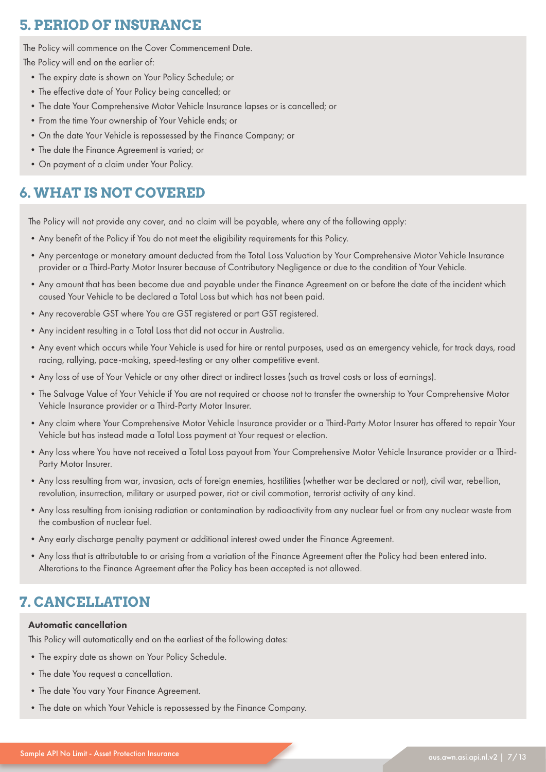### **5. PERIOD OF INSURANCE**

The Policy will commence on the Cover Commencement Date.

The Policy will end on the earlier of:

- •The expiry date is shown on Your Policy Schedule; or
- •The effective date of Your Policy being cancelled; or
- •The date Your Comprehensive Motor Vehicle Insurance lapses or is cancelled; or
- •From the time Your ownership of Your Vehicle ends; or
- •On the date Your Vehicle is repossessed by the Finance Company; or
- •The date the Finance Agreement is varied; or
- •On payment of a claim under Your Policy.

### **6. WHAT IS NOT COVERED**

The Policy will not provide any cover, and no claim will be payable, where any of the following apply:

- •Any benefit of the Policy if You do not meet the eligibility requirements for this Policy.
- •Any percentage or monetary amount deducted from the Total Loss Valuation by Your Comprehensive Motor Vehicle Insurance provider or a Third-Party Motor Insurer because of Contributory Negligence or due to the condition of Your Vehicle.
- •Any amount that has been become due and payable under the Finance Agreement on or before the date of the incident which caused Your Vehicle to be declared a Total Loss but which has not been paid.
- •Any recoverable GST where You are GST registered or part GST registered.
- •Any incident resulting in a Total Loss that did not occur in Australia.
- •Any event which occurs while Your Vehicle is used for hire or rental purposes, used as an emergency vehicle, for track days, road racing, rallying, pace-making, speed-testing or any other competitive event.
- •Any loss of use of Your Vehicle or any other direct or indirect losses (such as travel costs or loss of earnings).
- •The Salvage Value of Your Vehicle if You are not required or choose not to transfer the ownership to Your Comprehensive Motor Vehicle Insurance provider or a Third-Party Motor Insurer.
- •Any claim where Your Comprehensive Motor Vehicle Insurance provider or a Third-Party Motor Insurer has offered to repair Your Vehicle but has instead made a Total Loss payment at Your request or election.
- •Any loss where You have not received a Total Loss payout from Your Comprehensive Motor Vehicle Insurance provider or a Third-Party Motor Insurer.
- •Any loss resulting from war, invasion, acts of foreign enemies, hostilities (whether war be declared or not), civil war, rebellion, revolution, insurrection, military or usurped power, riot or civil commotion, terrorist activity of any kind.
- •Any loss resulting from ionising radiation or contamination by radioactivity from any nuclear fuel or from any nuclear waste from the combustion of nuclear fuel.
- •Any early discharge penalty payment or additional interest owed under the Finance Agreement.
- •Any loss that is attributable to or arising from a variation of the Finance Agreement after the Policy had been entered into. Alterations to the Finance Agreement after the Policy has been accepted is not allowed.

### **7. CANCELLATION**

#### Automatic cancellation

This Policy will automatically end on the earliest of the following dates:

- •The expiry date as shown on Your Policy Schedule.
- •The date You request a cancellation.
- •The date You vary Your Finance Agreement.
- •The date on which Your Vehicle is repossessed by the Finance Company.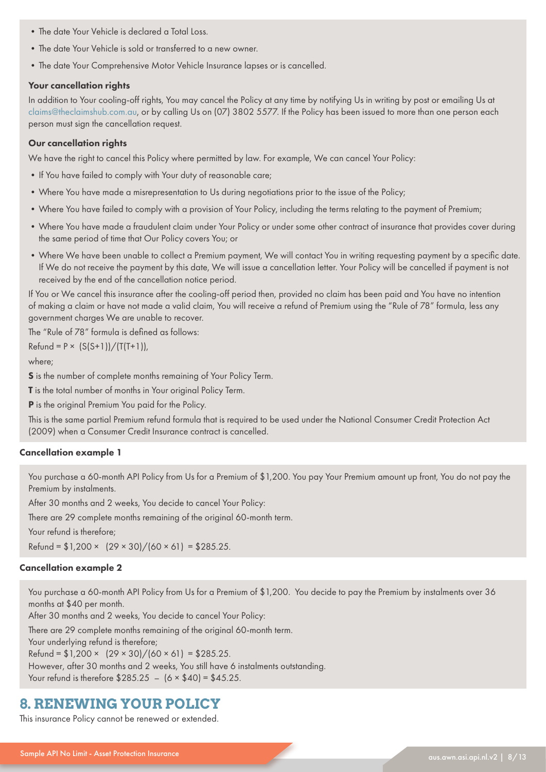- The date Your Vehicle is declared a Total Loss.
- •The date Your Vehicle is sold or transferred to a new owner.
- •The date Your Comprehensive Motor Vehicle Insurance lapses or is cancelled.

#### Your cancellation rights

In addition to Your cooling-off rights, You may cancel the Policy at any time by notifying Us in writing by post or emailing Us at claims@theclaimshub.com.au, or by calling Us on (07) 3802 5577. If the Policy has been issued to more than one person each person must sign the cancellation request.

#### Our cancellation rights

We have the right to cancel this Policy where permitted by law. For example, We can cancel Your Policy:

- If You have failed to comply with Your duty of reasonable care;
- •Where You have made a misrepresentation to Us during negotiations prior to the issue of the Policy;
- •Where You have failed to comply with a provision of Your Policy, including the terms relating to the payment of Premium;
- •Where You have made a fraudulent claim under Your Policy or under some other contract of insurance that provides cover during the same period of time that Our Policy covers You; or
- •Where We have been unable to collect a Premium payment, We will contact You in writing requesting payment by a specific date. If We do not receive the payment by this date, We will issue a cancellation letter. Your Policy will be cancelled if payment is not received by the end of the cancellation notice period.

If You or We cancel this insurance after the cooling-off period then, provided no claim has been paid and You have no intention of making a claim or have not made a valid claim, You will receive a refund of Premium using the "Rule of 78" formula, less any government charges We are unable to recover.

The "Rule of 78" formula is defined as follows:

 $Refund = P \times (S(S+1))/(T(T+1)),$ 

where;

S is the number of complete months remaining of Your Policy Term.

**T** is the total number of months in Your original Policy Term.

P is the original Premium You paid for the Policy.

This is the same partial Premium refund formula that is required to be used under the National Consumer Credit Protection Act (2009) when a Consumer Credit Insurance contract is cancelled.

#### Cancellation example 1

You purchase a 60-month API Policy from Us for a Premium of \$1,200. You pay Your Premium amount up front, You do not pay the Premium by instalments.

After 30 months and 2 weeks, You decide to cancel Your Policy:

There are 29 complete months remaining of the original 60-month term.

Your refund is therefore;

 $Refund = $1,200 \times (29 \times 30) / (60 \times 61) = $285.25.$ 

#### Cancellation example 2

You purchase a 60-month API Policy from Us for a Premium of \$1,200. You decide to pay the Premium by instalments over 36 months at \$40 per month.

After 30 months and 2 weeks, You decide to cancel Your Policy:

There are 29 complete months remaining of the original 60-month term.

Your underlying refund is therefore;

 $Refund = $1,200 \times (29 \times 30) / (60 \times 61) = $285.25.$ 

However, after 30 months and 2 weeks, You still have 6 instalments outstanding.

Your refund is therefore  $$285.25 - (6 \times $40) = $45.25$ .

### **8. RENEWING YOUR POLICY**

This insurance Policy cannot be renewed or extended.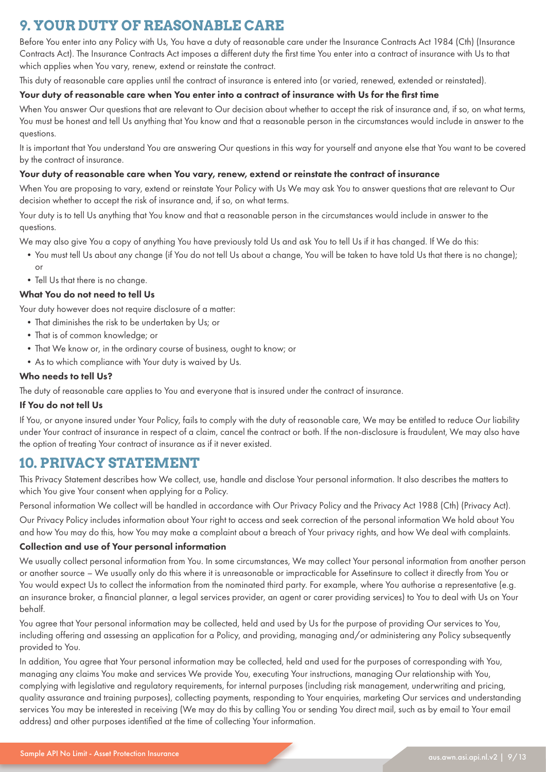### **9. YOUR DUTY OF REASONABLE CARE**

Before You enter into any Policy with Us, You have a duty of reasonable care under the Insurance Contracts Act 1984 (Cth) (Insurance Contracts Act). The Insurance Contracts Act imposes a different duty the first time You enter into a contract of insurance with Us to that which applies when You vary, renew, extend or reinstate the contract.

This duty of reasonable care applies until the contract of insurance is entered into (or varied, renewed, extended or reinstated).

#### Your duty of reasonable care when You enter into a contract of insurance with Us for the first time

When You answer Our questions that are relevant to Our decision about whether to accept the risk of insurance and, if so, on what terms, You must be honest and tell Us anything that You know and that a reasonable person in the circumstances would include in answer to the questions.

It is important that You understand You are answering Our questions in this way for yourself and anyone else that You want to be covered by the contract of insurance.

#### Your duty of reasonable care when You vary, renew, extend or reinstate the contract of insurance

When You are proposing to vary, extend or reinstate Your Policy with Us We may ask You to answer questions that are relevant to Our decision whether to accept the risk of insurance and, if so, on what terms.

Your duty is to tell Us anything that You know and that a reasonable person in the circumstances would include in answer to the questions.

We may also give You a copy of anything You have previously told Us and ask You to tell Us if it has changed. If We do this:

- •You must tell Us about any change (if You do not tell Us about a change, You will be taken to have told Us that there is no change); or
- Tell Us that there is no change.

#### What You do not need to tell Us

Your duty however does not require disclosure of a matter:

- •That diminishes the risk to be undertaken by Us; or
- •That is of common knowledge; or
- •That We know or, in the ordinary course of business, ought to know; or
- •As to which compliance with Your duty is waived by Us.

#### Who needs to tell Us?

The duty of reasonable care applies to You and everyone that is insured under the contract of insurance.

#### If You do not tell Us

If You, or anyone insured under Your Policy, fails to comply with the duty of reasonable care, We may be entitled to reduce Our liability under Your contract of insurance in respect of a claim, cancel the contract or both. If the non-disclosure is fraudulent, We may also have the option of treating Your contract of insurance as if it never existed.

### **10. PRIVACY STATEMENT**

This Privacy Statement describes how We collect, use, handle and disclose Your personal information. It also describes the matters to which You give Your consent when applying for a Policy.

Personal information We collect will be handled in accordance with Our Privacy Policy and the Privacy Act 1988 (Cth) (Privacy Act).

Our Privacy Policy includes information about Your right to access and seek correction of the personal information We hold about You and how You may do this, how You may make a complaint about a breach of Your privacy rights, and how We deal with complaints.

#### Collection and use of Your personal information

We usually collect personal information from You. In some circumstances, We may collect Your personal information from another person or another source – We usually only do this where it is unreasonable or impracticable for Assetinsure to collect it directly from You or You would expect Us to collect the information from the nominated third party. For example, where You authorise a representative (e.g. an insurance broker, a financial planner, a legal services provider, an agent or carer providing services) to You to deal with Us on Your behalf.

You agree that Your personal information may be collected, held and used by Us for the purpose of providing Our services to You, including offering and assessing an application for a Policy, and providing, managing and/or administering any Policy subsequently provided to You.

In addition, You agree that Your personal information may be collected, held and used for the purposes of corresponding with You, managing any claims You make and services We provide You, executing Your instructions, managing Our relationship with You, complying with legislative and regulatory requirements, for internal purposes (including risk management, underwriting and pricing, quality assurance and training purposes), collecting payments, responding to Your enquiries, marketing Our services and understanding services You may be interested in receiving (We may do this by calling You or sending You direct mail, such as by email to Your email address) and other purposes identified at the time of collecting Your information.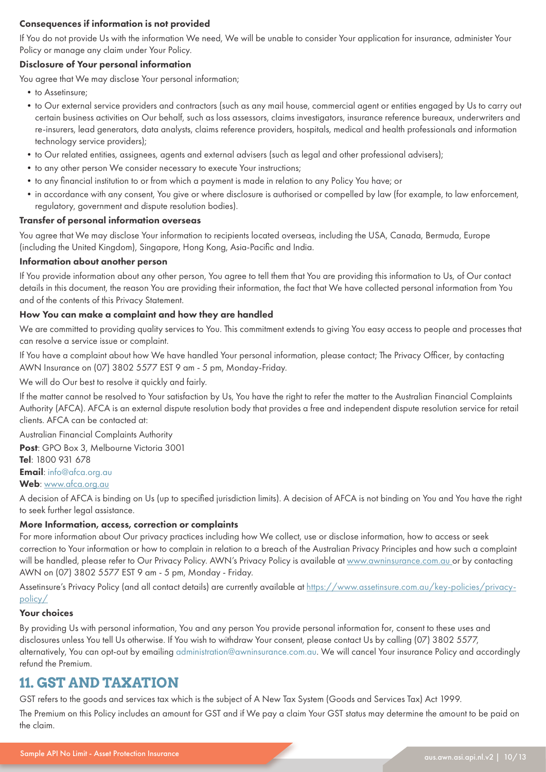#### Consequences if information is not provided

If You do not provide Us with the information We need, We will be unable to consider Your application for insurance, administer Your Policy or manage any claim under Your Policy.

#### Disclosure of Your personal information

You agree that We may disclose Your personal information;

- to Assetinsure;
- to Our external service providers and contractors (such as any mail house, commercial agent or entities engaged by Us to carry out certain business activities on Our behalf, such as loss assessors, claims investigators, insurance reference bureaux, underwriters and re-insurers, lead generators, data analysts, claims reference providers, hospitals, medical and health professionals and information technology service providers);
- •to Our related entities, assignees, agents and external advisers (such as legal and other professional advisers);
- to any other person We consider necessary to execute Your instructions;
- •to any financial institution to or from which a payment is made in relation to any Policy You have; or
- •in accordance with any consent, You give or where disclosure is authorised or compelled by law (for example, to law enforcement, regulatory, government and dispute resolution bodies).

#### Transfer of personal information overseas

You agree that We may disclose Your information to recipients located overseas, including the USA, Canada, Bermuda, Europe (including the United Kingdom), Singapore, Hong Kong, Asia-Pacific and India.

#### Information about another person

If You provide information about any other person, You agree to tell them that You are providing this information to Us, of Our contact details in this document, the reason You are providing their information, the fact that We have collected personal information from You and of the contents of this Privacy Statement.

#### How You can make a complaint and how they are handled

We are committed to providing quality services to You. This commitment extends to giving You easy access to people and processes that can resolve a service issue or complaint.

If You have a complaint about how We have handled Your personal information, please contact; The Privacy Officer, by contacting AWN Insurance on (07) 3802 5577 EST 9 am - 5 pm, Monday-Friday.

We will do Our best to resolve it quickly and fairly.

If the matter cannot be resolved to Your satisfaction by Us, You have the right to refer the matter to the Australian Financial Complaints Authority (AFCA). AFCA is an external dispute resolution body that provides a free and independent dispute resolution service for retail clients. AFCA can be contacted at:

Australian Financial Complaints Authority Post: GPO Box 3, Melbourne Victoria 3001 Tel: 1800 931 678 Email: info@afca.org.au Web: www.afca.org.au

A decision of AFCA is binding on Us (up to specified jurisdiction limits). A decision of AFCA is not binding on You and You have the right to seek further legal assistance.

#### More Information, access, correction or complaints

For more information about Our privacy practices including how We collect, use or disclose information, how to access or seek correction to Your information or how to complain in relation to a breach of the Australian Privacy Principles and how such a complaint will be handled, please refer to Our Privacy Policy. AWN's Privacy Policy is available at www.awninsurance.com.au or by contacting AWN on (07) 3802 5577 EST 9 am - 5 pm, Monday - Friday.

Assetinsure's Privacy Policy (and all contact details) are currently available at https://www.assetinsure.com.au/key-policies/privacypolicy/

#### Your choices

By providing Us with personal information, You and any person You provide personal information for, consent to these uses and disclosures unless You tell Us otherwise. If You wish to withdraw Your consent, please contact Us by calling (07) 3802 5577, alternatively, You can opt-out by emailing administration@awninsurance.com.au. We will cancel Your insurance Policy and accordingly refund the Premium.

### **11. GST AND TAXATION**

GST refers to the goods and services tax which is the subject of A New Tax System (Goods and Services Tax) Act 1999.

The Premium on this Policy includes an amount for GST and if We pay a claim Your GST status may determine the amount to be paid on the claim.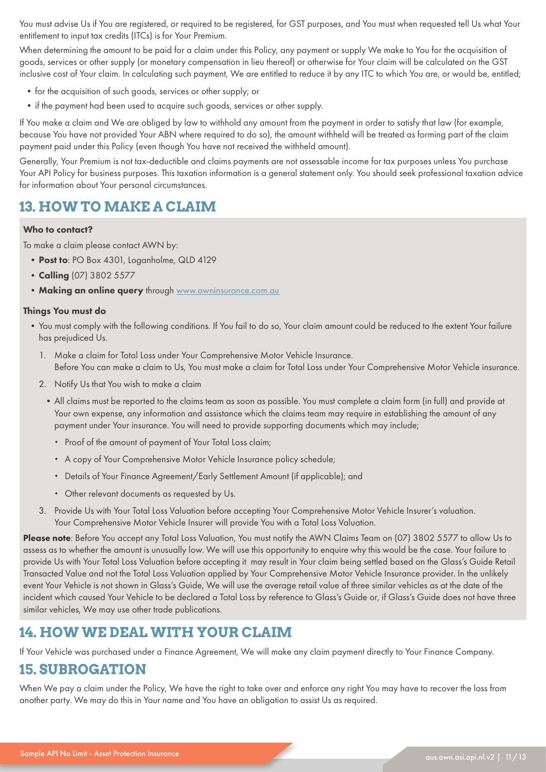You must advise Us if You are registered, or required to be registered, for GST purposes, and You must when requested tell Us what Your entitlement to input tax credits (ITCs) is for Your Premium.

When determining the amount to be paid for a claim under this Policy, any payment or supply We make to You for the acquisition of goods, services or other supply (or monetary compensation in lieu thereof) or otherwise for Your claim will be calculated on the GST inclusive cost of Your claim. In calculating such payment, We are entitled to reduce it by any ITC to which You are, or would be, entitled;

- for the acquisition of such goods, services or other supply; or
- if the payment had been used to acquire such goods, services or other supply.

If You make a claim and We are obliged by law to withhold any amount from the payment in order to satisfy that law (for example, because You have not provided Your ABN where required to do so), the amount withheld will be treated as forming part of the claim payment paid under this Policy (even though You have not received the withheld amount).

Generally, Your Premium is not tax-deductible and claims payments are not assessable income for tax purposes unless You purchase Your API Policy for business purposes. This taxation information is a general statement only. You should seek professional taxation advice for information about Your personal circumstances.

### **13. HOW TO MAKE A CLAIM**

#### Who to contact?

To make a claim please contact AWN by:

- Post to: PO Box 4301, Loganholme, QLD 4129
- Calling (07) 3802 5577
- Making an online query through www.awninsurance.com.au

#### Things You must do

- •You must comply with the following conditions. If You fail to do so, Your claim amount could be reduced to the extent Your failure has prejudiced Us.
	- 1. Make a claim for Total Loss under Your Comprehensive Motor Vehicle Insurance. Before You can make a claim to Us, You must make a claim for Total Loss under Your Comprehensive Motor Vehicle insurance.
	- 2. Notify Us that You wish to make a claim
		- •All claims must be reported to the claims team as soon as possible. You must complete a claim form (in full) and provide at Your own expense, any information and assistance which the claims team may require in establishing the amount of any payment under Your insurance. You will need to provide supporting documents which may include;
			- Proof of the amount of payment of Your Total Loss claim;
			- A copy of Your Comprehensive Motor Vehicle Insurance policy schedule;
			- Details of Your Finance Agreement/Early Settlement Amount (if applicable); and
			- Other relevant documents as requested by Us.
	- 3. Provide Us with Your Total Loss Valuation before accepting Your Comprehensive Motor Vehicle Insurer's valuation. Your Comprehensive Motor Vehicle Insurer will provide You with a Total Loss Valuation.

Please note: Before You accept any Total Loss Valuation, You must notify the AWN Claims Team on (07) 3802 5577 to allow Us to assess as to whether the amount is unusually low. We will use this opportunity to enquire why this would be the case. Your failure to provide Us with Your Total Loss Valuation before accepting it may result in Your claim being settled based on the Glass's Guide Retail Transacted Value and not the Total Loss Valuation applied by Your Comprehensive Motor Vehicle Insurance provider. In the unlikely event Your Vehicle is not shown in Glass's Guide, We will use the average retail value of three similar vehicles as at the date of the incident which caused Your Vehicle to be declared a Total Loss by reference to Glass's Guide or, if Glass's Guide does not have three similar vehicles, We may use other trade publications.

### **14. HOW WE DEAL WITH YOUR CLAIM**

If Your Vehicle was purchased under a Finance Agreement, We will make any claim payment directly to Your Finance Company.

### **15. SUBROGATION**

When We pay a claim under the Policy, We have the right to take over and enforce any right You may have to recover the loss from another party. We may do this in Your name and You have an obligation to assist Us as required.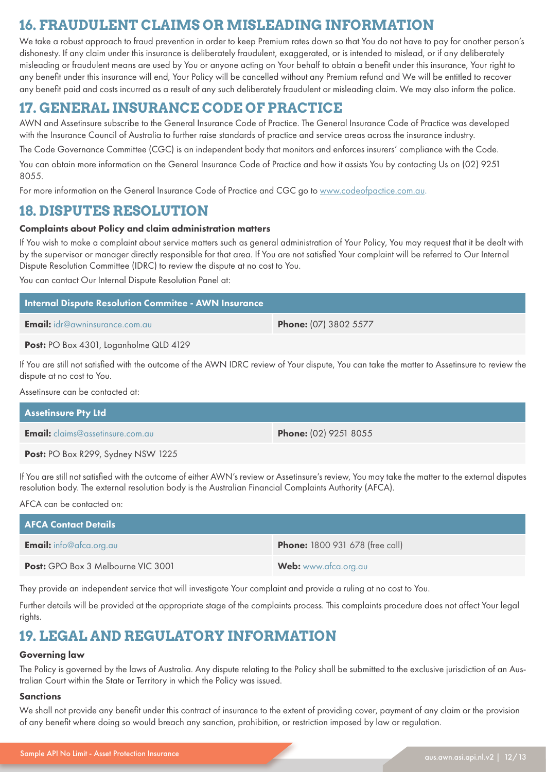### **16. FRAUDULENT CLAIMS OR MISLEADING INFORMATION**

We take a robust approach to fraud prevention in order to keep Premium rates down so that You do not have to pay for another person's dishonesty. If any claim under this insurance is deliberately fraudulent, exaggerated, or is intended to mislead, or if any deliberately misleading or fraudulent means are used by You or anyone acting on Your behalf to obtain a benefit under this insurance, Your right to any benefit under this insurance will end, Your Policy will be cancelled without any Premium refund and We will be entitled to recover any benefit paid and costs incurred as a result of any such deliberately fraudulent or misleading claim. We may also inform the police.

### **17. GENERAL INSURANCE CODE OF PRACTICE**

AWN and Assetinsure subscribe to the General Insurance Code of Practice. The General Insurance Code of Practice was developed with the Insurance Council of Australia to further raise standards of practice and service areas across the insurance industry.

The Code Governance Committee (CGC) is an independent body that monitors and enforces insurers' compliance with the Code.

You can obtain more information on the General Insurance Code of Practice and how it assists You by contacting Us on (02) 9251 8055.

For more information on the General Insurance Code of Practice and CGC go to www.codeofpactice.com.au.

### **18. DISPUTES RESOLUTION**

#### Complaints about Policy and claim administration matters

If You wish to make a complaint about service matters such as general administration of Your Policy, You may request that it be dealt with by the supervisor or manager directly responsible for that area. If You are not satisfied Your complaint will be referred to Our Internal Dispute Resolution Committee (IDRC) to review the dispute at no cost to You.

You can contact Our Internal Dispute Resolution Panel at:

| Internal Dispute Resolution Commitee - AWN Insurance |                              |
|------------------------------------------------------|------------------------------|
| <b>Email:</b> idr@awninsurance.com.au                | <b>Phone:</b> (07) 3802 5577 |
| Post: PO Box 4301, Loganholme QLD 4129               |                              |

If You are still not satisfied with the outcome of the AWN IDRC review of Your dispute, You can take the matter to Assetinsure to review the dispute at no cost to You.

Assetinsure can be contacted at:

| <b>Assetinsure Pty Ltd</b>              |                              |
|-----------------------------------------|------------------------------|
| <b>Email:</b> claims@assetinsure.com.au | <b>Phone:</b> (02) 9251 8055 |
| Post: PO Box R299, Sydney NSW 1225      |                              |

If You are still not satisfied with the outcome of either AWN's review or Assetinsure's review, You may take the matter to the external disputes resolution body. The external resolution body is the Australian Financial Complaints Authority (AFCA).

AFCA can be contacted on:

| AFCA Contact Details                      |                                        |
|-------------------------------------------|----------------------------------------|
| <b>Email:</b> info@afca.org.au            | <b>Phone:</b> 1800 931 678 (free call) |
| <b>Post:</b> GPO Box 3 Melbourne VIC 3001 | Web: www.afca.org.au                   |

They provide an independent service that will investigate Your complaint and provide a ruling at no cost to You.

Further details will be provided at the appropriate stage of the complaints process. This complaints procedure does not affect Your legal rights.

### **19. LEGAL AND REGULATORY INFORMATION**

#### Governing law

The Policy is governed by the laws of Australia. Any dispute relating to the Policy shall be submitted to the exclusive jurisdiction of an Australian Court within the State or Territory in which the Policy was issued.

#### **Sanctions**

We shall not provide any benefit under this contract of insurance to the extent of providing cover, payment of any claim or the provision of any benefit where doing so would breach any sanction, prohibition, or restriction imposed by law or regulation.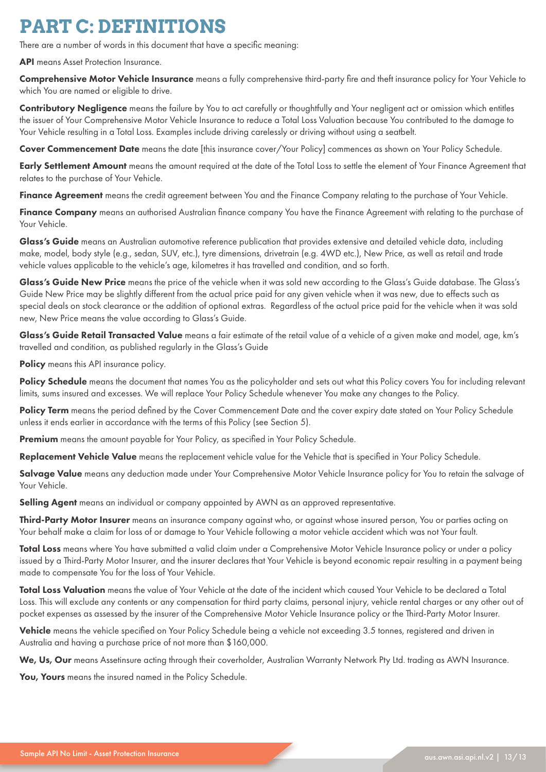# **PART C: DEFINITIONS**

There are a number of words in this document that have a specific meaning:

**API** means Asset Protection Insurance.

Comprehensive Motor Vehicle Insurance means a fully comprehensive third-party fire and theft insurance policy for Your Vehicle to which You are named or eligible to drive.

Contributory Negligence means the failure by You to act carefully or thoughtfully and Your negligent act or omission which entitles the issuer of Your Comprehensive Motor Vehicle Insurance to reduce a Total Loss Valuation because You contributed to the damage to Your Vehicle resulting in a Total Loss. Examples include driving carelessly or driving without using a seatbelt.

Cover Commencement Date means the date [this insurance cover/Your Policy] commences as shown on Your Policy Schedule.

Early Settlement Amount means the amount required at the date of the Total Loss to settle the element of Your Finance Agreement that relates to the purchase of Your Vehicle.

Finance Agreement means the credit agreement between You and the Finance Company relating to the purchase of Your Vehicle.

Finance Company means an authorised Australian finance company You have the Finance Agreement with relating to the purchase of Your Vehicle.

Glass's Guide means an Australian automotive reference publication that provides extensive and detailed vehicle data, including make, model, body style (e.g., sedan, SUV, etc.), tyre dimensions, drivetrain (e.g. 4WD etc.), New Price, as well as retail and trade vehicle values applicable to the vehicle's age, kilometres it has travelled and condition, and so forth.

Glass's Guide New Price means the price of the vehicle when it was sold new according to the Glass's Guide database. The Glass's Guide New Price may be slightly different from the actual price paid for any given vehicle when it was new, due to effects such as special deals on stock clearance or the addition of optional extras. Regardless of the actual price paid for the vehicle when it was sold new, New Price means the value according to Glass's Guide.

Glass's Guide Retail Transacted Value means a fair estimate of the retail value of a vehicle of a given make and model, age, km's travelled and condition, as published regularly in the Glass's Guide

Policy means this API insurance policy.

Policy Schedule means the document that names You as the policyholder and sets out what this Policy covers You for including relevant limits, sums insured and excesses. We will replace Your Policy Schedule whenever You make any changes to the Policy.

Policy Term means the period defined by the Cover Commencement Date and the cover expiry date stated on Your Policy Schedule unless it ends earlier in accordance with the terms of this Policy (see Section 5).

Premium means the amount payable for Your Policy, as specified in Your Policy Schedule.

Replacement Vehicle Value means the replacement vehicle value for the Vehicle that is specified in Your Policy Schedule.

Salvage Value means any deduction made under Your Comprehensive Motor Vehicle Insurance policy for You to retain the salvage of Your Vehicle.

Selling Agent means an individual or company appointed by AWN as an approved representative.

Third-Party Motor Insurer means an insurance company against who, or against whose insured person, You or parties acting on Your behalf make a claim for loss of or damage to Your Vehicle following a motor vehicle accident which was not Your fault.

Total Loss means where You have submitted a valid claim under a Comprehensive Motor Vehicle Insurance policy or under a policy issued by a Third-Party Motor Insurer, and the insurer declares that Your Vehicle is beyond economic repair resulting in a payment being made to compensate You for the loss of Your Vehicle.

Total Loss Valuation means the value of Your Vehicle at the date of the incident which caused Your Vehicle to be declared a Total Loss. This will exclude any contents or any compensation for third party claims, personal injury, vehicle rental charges or any other out of pocket expenses as assessed by the insurer of the Comprehensive Motor Vehicle Insurance policy or the Third-Party Motor Insurer.

Vehicle means the vehicle specified on Your Policy Schedule being a vehicle not exceeding 3.5 tonnes, registered and driven in Australia and having a purchase price of not more than \$160,000.

We, Us, Our means Assetinsure acting through their coverholder, Australian Warranty Network Pty Ltd. trading as AWN Insurance.

You, Yours means the insured named in the Policy Schedule.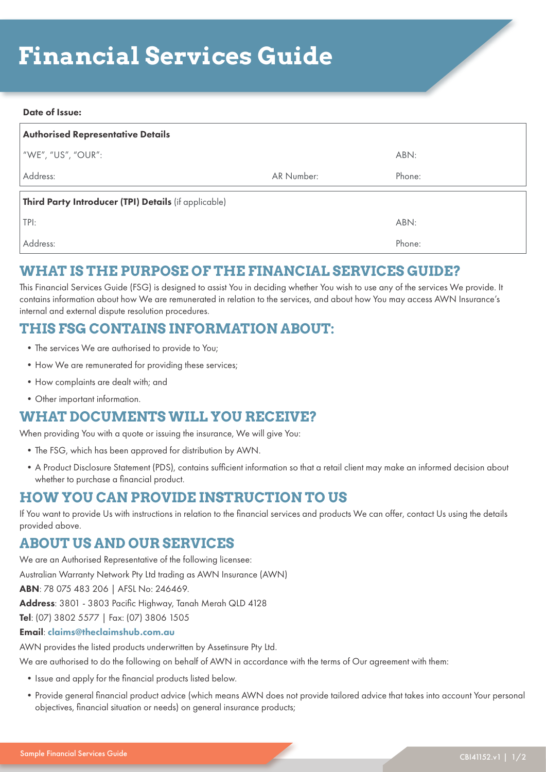# **Financial Services Guide**

#### Date of Issue:

| <b>Authorised Representative Details</b>             |            |        |  |
|------------------------------------------------------|------------|--------|--|
| "WE", "US", "OUR":                                   |            | ABN:   |  |
| Address:                                             | AR Number: | Phone: |  |
| Third Party Introducer (TPI) Details (if applicable) |            |        |  |
| TPI:                                                 |            | ABN:   |  |
| Address:                                             |            | Phone: |  |

### **WHAT IS THE PURPOSE OF THE FINANCIAL SERVICES GUIDE?**

This Financial Services Guide (FSG) is designed to assist You in deciding whether You wish to use any of the services We provide. It contains information about how We are remunerated in relation to the services, and about how You may access AWN Insurance's internal and external dispute resolution procedures.

### **THIS FSG CONTAINS INFORMATION ABOUT:**

- •The services We are authorised to provide to You;
- How We are remunerated for providing these services;
- •How complaints are dealt with; and
- •Other important information.

### **WHAT DOCUMENTS WILL YOU RECEIVE?**

When providing You with a quote or issuing the insurance, We will give You:

- •The FSG, which has been approved for distribution by AWN.
- •A Product Disclosure Statement (PDS), contains sufficient information so that a retail client may make an informed decision about whether to purchase a financial product.

### **HOW YOU CAN PROVIDE INSTRUCTION TO US**

If You want to provide Us with instructions in relation to the financial services and products We can offer, contact Us using the details provided above.

### **ABOUT US AND OUR SERVICES**

We are an Authorised Representative of the following licensee:

Australian Warranty Network Pty Ltd trading as AWN Insurance (AWN)

ABN: 78 075 483 206 | AFSL No: 246469.

Address: 3801 - 3803 Pacific Highway, Tanah Merah QLD 4128

Tel: (07) 3802 5577 | Fax: (07) 3806 1505

#### Email: claims@theclaimshub.com.au

AWN provides the listed products underwritten by Assetinsure Pty Ltd.

We are authorised to do the following on behalf of AWN in accordance with the terms of Our agreement with them:

- Issue and apply for the financial products listed below.
- •Provide general financial product advice (which means AWN does not provide tailored advice that takes into account Your personal objectives, financial situation or needs) on general insurance products;